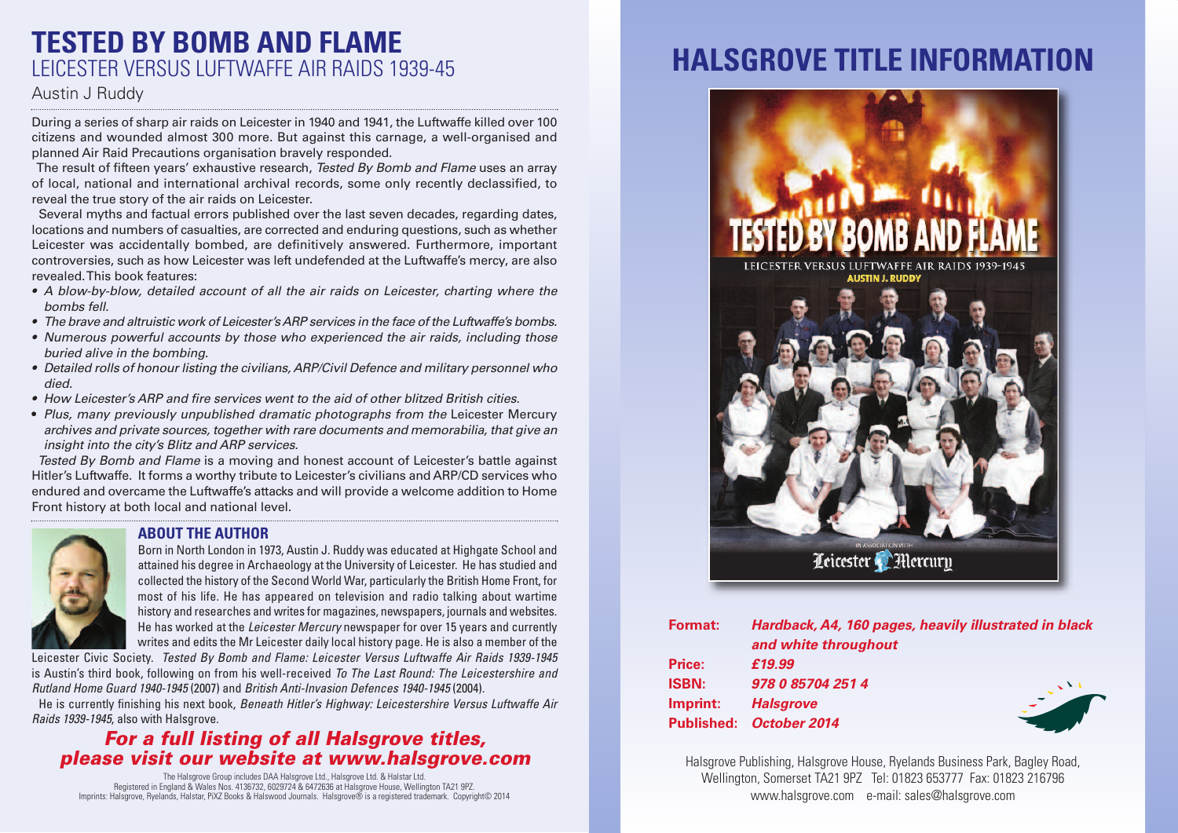### **TESTED BY BOMB AND FLAME** LEICESTER VERSUS LUFTWAFFE AIR RAIDS 1939-45

#### Austin J Ruddy

During a series of sharp air raids on Leicester in 1940 and 1941, the Luftwaffe killed over 100 citizens and wounded almost 300 more. But against this carnage, a well-organised and planned Air Raid Precautions organisation bravely responded.

The result of fifteen years' exhaustive research, Tested By Bomb and Flame uses an array of local, national and international archival records, some only recently declassified, to reveal the true story of the air raids on Leicester.

Several myths and factual errors published over the last seven decades, regarding dates, locations and numbers of casualties, are corrected and enduring questions, such as whether Leicester was accidentally bombed, are definitively answered. Furthermore, important controversies, such as how Leicester was left undefended at the Luftwaffe's mercy, are also revealed.This book features:

- A blow-by-blow, detailed account of all the air raids on Leicester, charting where the bombs fell.
- $\bullet$  The brave and altruistic work of Leicester's ARP services in the face of the Luftwaffe's bombs.
- Numerous powerful accounts by those who experienced the air raids, including those buried alive in the bombing.
- Detailed rolls of honour listing the civilians, ARP/Civil Defence and military personnel who died.
- How Leicester's ARP and fire services went to the aid of other blitzed British cities.
- Plus, many previously unpublished dramatic photographs from the Leicester Mercury archives and private sources, together with rare documents and memorabilia, that give an insight into the city's Blitz and ARP services.

Tested By Bomb and Flame is a moving and honest account of Leicester's battle against Hitler's Luftwaffe. It forms a worthy tribute to Leicester's civilians and ARP/CD services who endured and overcame the Luftwaffe's attacks and will provide a welcome addition to Home Front history at both local and national level.



#### **ABOUT THE AUTHOR**

Born in North London in 1973, Austin J. Ruddy was educated at Highgate School and attained his degree in Archaeology at the University of Leicester. He has studied and collected the history of the Second World War, particularly the British Home Front, for most of his life. He has appeared on television and radio talking about wartime history and researches and writes for magazines, newspapers, journals and websites. He has worked at the *Leicester Mercury* newspaper for over 15 years and currently writes and edits the Mr Leicester daily local history page. He is also a member of the

Leicester Civic Society. *Tested By Bomb and Flame: Leicester Versus Luftwaffe Air Raids 1939-1945* is Austin's third book, following on from his well-received *To The Last Round: The Leicestershire and Rutland Home Guard 1940-1945* (2007) and *British Anti-Invasion Defences 1940-1945* (2004).

He is currently finishing his next book, *Beneath Hitler's Highway: Leicestershire Versus Luftwaffe Air Raids 1939-1945*, also with Halsgrove.

### *For a full listing of all Halsgrove titles, please visit our website at www.halsgrove.com*

The Halsgrove Group includes DAA Halsgrove Ltd., Halsgrove Ltd. & Halstar Ltd. Registered in England & Wales Nos. 4136732, 6029724 & 6472636 at Halsgrove House, Wellington TA21 9PZ. Imprints: Halsgrove, Ryelands, Halstar, PiXZ Books & Halswood Journals. Halsgrove® is a registered trademark. Copyright© 2014

# **HALSGROVE TITLE INFORMATION**



| <b>Format:</b>    | Hardback, A4, 160 pages, heavily illustrated in black |
|-------------------|-------------------------------------------------------|
|                   | and white throughout                                  |
| Price:            | £19.99                                                |
| <b>ISBN:</b>      | 978 0 85704 251 4                                     |
| Imprint:          | <b>Halsgrove</b>                                      |
| <b>Published:</b> | October 2014                                          |

Halsgrove Publishing, Halsgrove House, Ryelands Business Park, Bagley Road, Wellington, Somerset TA21 9PZ Tel: 01823 653777 Fax: 01823 216796 www.halsgrove.com e-mail: sales@halsgrove.com